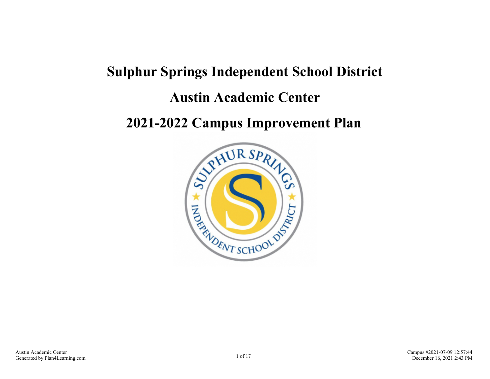# **Sulphur Springs Independent School District Austin Academic Center**

### **2021-2022 Campus Improvement Plan**

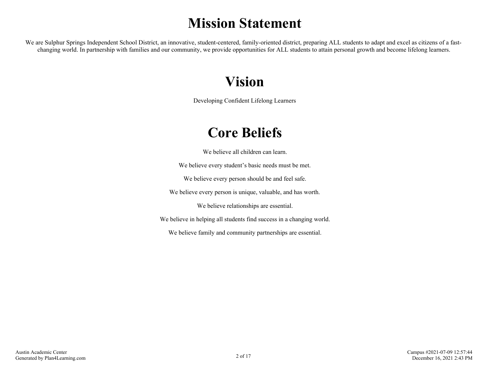# **Mission Statement**

We are Sulphur Springs Independent School District, an innovative, student-centered, family-oriented district, preparing ALL students to adapt and excel as citizens of a fastchanging world. In partnership with families and our community, we provide opportunities for ALL students to attain personal growth and become lifelong learners.

## **Vision**

Developing Confident Lifelong Learners

# **Core Beliefs**

We believe all children can learn.

We believe every student's basic needs must be met.

We believe every person should be and feel safe.

We believe every person is unique, valuable, and has worth.

We believe relationships are essential.

We believe in helping all students find success in a changing world.

We believe family and community partnerships are essential.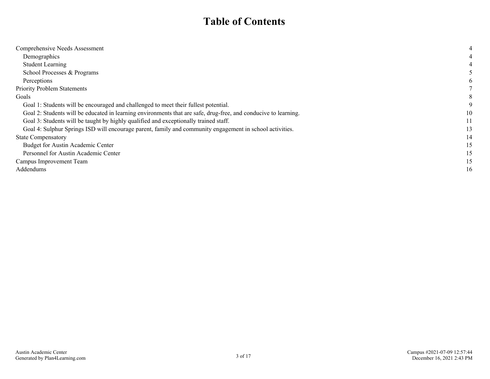### **Table of Contents**

| Comprehensive Needs Assessment                                                                                  |    |
|-----------------------------------------------------------------------------------------------------------------|----|
| Demographics                                                                                                    |    |
| <b>Student Learning</b>                                                                                         |    |
| School Processes & Programs                                                                                     |    |
| Perceptions                                                                                                     |    |
| <b>Priority Problem Statements</b>                                                                              |    |
| Goals                                                                                                           | 8  |
| Goal 1: Students will be encouraged and challenged to meet their fullest potential.                             |    |
| Goal 2: Students will be educated in learning environments that are safe, drug-free, and conducive to learning. |    |
| Goal 3: Students will be taught by highly qualified and exceptionally trained staff.                            |    |
| Goal 4: Sulphur Springs ISD will encourage parent, family and community engagement in school activities.        |    |
| <b>State Compensatory</b>                                                                                       | 14 |
| Budget for Austin Academic Center                                                                               | 15 |
| Personnel for Austin Academic Center                                                                            |    |
| Campus Improvement Team                                                                                         |    |
| Addendums                                                                                                       | 16 |
|                                                                                                                 |    |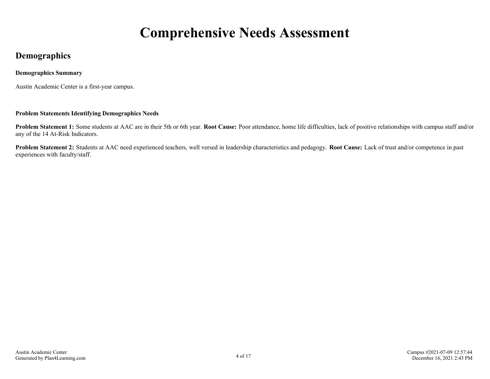# **Comprehensive Needs Assessment**

### <span id="page-3-0"></span>**Demographics**

#### **Demographics Summary**

Austin Academic Center is a first-year campus.

#### **Problem Statements Identifying Demographics Needs**

**Problem Statement 1:** Some students at AAC are in their 5th or 6th year. **Root Cause:** Poor attendance, home life difficulties, lack of positive relationships with campus staff and/or any of the 14 At-Risk Indicators.

**Problem Statement 2:** Students at AAC need experienced teachers, well versed in leadership characteristics and pedagogy. **Root Cause:** Lack of trust and/or competence in past experiences with faculty/staff.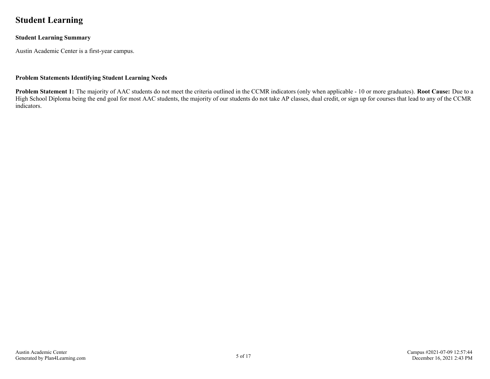### <span id="page-4-0"></span>**Student Learning**

#### **Student Learning Summary**

Austin Academic Center is a first-year campus.

#### **Problem Statements Identifying Student Learning Needs**

**Problem Statement 1:** The majority of AAC students do not meet the criteria outlined in the CCMR indicators (only when applicable - 10 or more graduates). **Root Cause:** Due to a High School Diploma being the end goal for most AAC students, the majority of our students do not take AP classes, dual credit, or sign up for courses that lead to any of the CCMR indicators.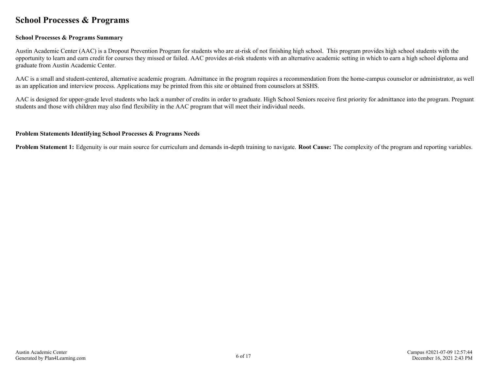### <span id="page-5-0"></span>**School Processes & Programs**

#### **School Processes & Programs Summary**

Austin Academic Center (AAC) is a Dropout Prevention Program for students who are at-risk of not finishing high school. This program provides high school students with the opportunity to learn and earn credit for courses they missed or failed. AAC provides at-risk students with an alternative academic setting in which to earn a high school diploma and graduate from Austin Academic Center.

AAC is a small and student-centered, alternative academic program. Admittance in the program requires a recommendation from the home-campus counselor or administrator, as well as an application and interview process. Applications may be printed from this site or obtained from counselors at SSHS.

AAC is designed for upper-grade level students who lack a number of credits in order to graduate. High School Seniors receive first priority for admittance into the program. Pregnant students and those with children may also find flexibility in the AAC program that will meet their individual needs.

#### **Problem Statements Identifying School Processes & Programs Needs**

**Problem Statement 1:** Edgenuity is our main source for curriculum and demands in-depth training to navigate. **Root Cause:** The complexity of the program and reporting variables.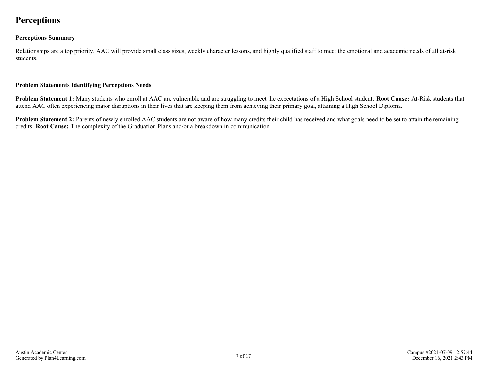### <span id="page-6-0"></span>**Perceptions**

#### **Perceptions Summary**

Relationships are a top priority. AAC will provide small class sizes, weekly character lessons, and highly qualified staff to meet the emotional and academic needs of all at-risk students.

#### **Problem Statements Identifying Perceptions Needs**

**Problem Statement 1:** Many students who enroll at AAC are vulnerable and are struggling to meet the expectations of a High School student. **Root Cause:** At-Risk students that attend AAC often experiencing major disruptions in their lives that are keeping them from achieving their primary goal, attaining a High School Diploma.

**Problem Statement 2:** Parents of newly enrolled AAC students are not aware of how many credits their child has received and what goals need to be set to attain the remaining credits. **Root Cause:** The complexity of the Graduation Plans and/or a breakdown in communication.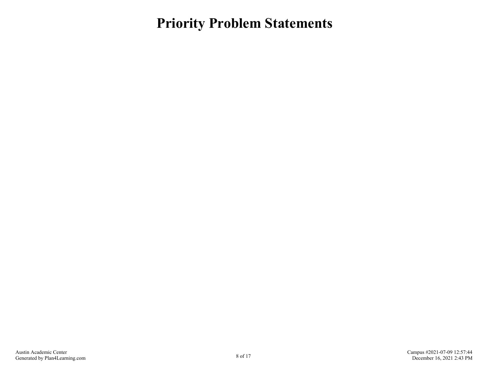<span id="page-7-0"></span>**Priority Problem Statements**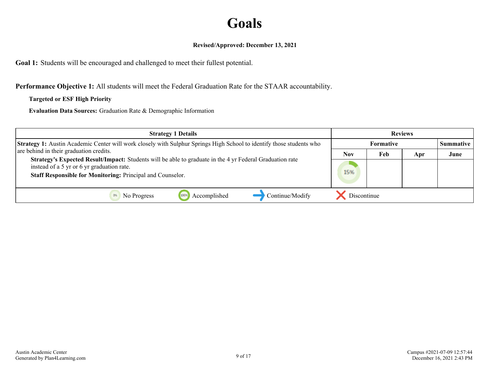# **Goals**

#### **Revised/Approved: December 13, 2021**

<span id="page-8-0"></span>**Goal 1:** Students will be encouraged and challenged to meet their fullest potential.

**Performance Objective 1:** All students will meet the Federal Graduation Rate for the STAAR accountability.

#### **Targeted or ESF High Priority**

**Evaluation Data Sources:** Graduation Rate & Demographic Information

| <b>Strategy 1 Details</b>                                                                                                                                              |             |                                      | <b>Reviews</b> |      |
|------------------------------------------------------------------------------------------------------------------------------------------------------------------------|-------------|--------------------------------------|----------------|------|
| <b>Strategy 1:</b> Austin Academic Center will work closely with Sulphur Springs High School to identify those students who<br>are behind in their graduation credits. |             | <b>Formative</b><br><b>Summative</b> |                |      |
|                                                                                                                                                                        |             | Feb                                  | Apr            | June |
| Strategy's Expected Result/Impact: Students will be able to graduate in the 4 yr Federal Graduation rate<br>instead of a 5 yr or 6 yr graduation rate.                 |             |                                      |                |      |
| Staff Responsible for Monitoring: Principal and Counselor.                                                                                                             | 15%         |                                      |                |      |
| Continue/Modify<br>Accomplished<br>No Progress<br>1009                                                                                                                 | Discontinue |                                      |                |      |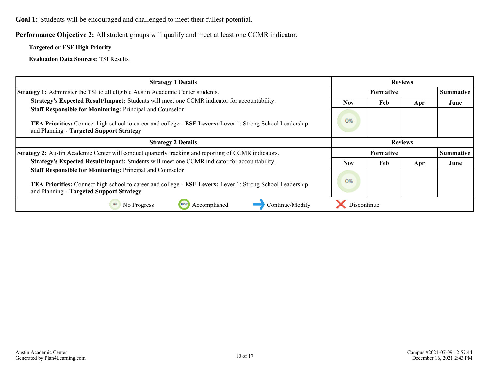**Goal 1:** Students will be encouraged and challenged to meet their fullest potential.

**Performance Objective 2:** All student groups will qualify and meet at least one CCMR indicator.

**Targeted or ESF High Priority**

**Evaluation Data Sources:** TSI Results

| <b>Strategy 1 Details</b>                                                                                                                             | <b>Reviews</b> |                  |     |                  |
|-------------------------------------------------------------------------------------------------------------------------------------------------------|----------------|------------------|-----|------------------|
| <b>Strategy 1:</b> Administer the TSI to all eligible Austin Academic Center students.                                                                |                | <b>Formative</b> |     | <b>Summative</b> |
| Strategy's Expected Result/Impact: Students will meet one CCMR indicator for accountability.                                                          | <b>Nov</b>     | Feb              | Apr | June             |
| Staff Responsible for Monitoring: Principal and Counselor                                                                                             |                |                  |     |                  |
| TEA Priorities: Connect high school to career and college - ESF Levers: Lever 1: Strong School Leadership<br>and Planning - Targeted Support Strategy | 0%             |                  |     |                  |
| <b>Strategy 2 Details</b>                                                                                                                             | <b>Reviews</b> |                  |     |                  |
| <b>Strategy 2:</b> Austin Academic Center will conduct quarterly tracking and reporting of CCMR indicators.                                           |                | <b>Formative</b> |     | <b>Summative</b> |
| Strategy's Expected Result/Impact: Students will meet one CCMR indicator for accountability.                                                          |                | Feb              | Apr | June             |
| <b>Staff Responsible for Monitoring: Principal and Counselor</b>                                                                                      |                |                  |     |                  |
| <b>TEA Priorities:</b> Connect high school to career and college - <b>ESF Levers:</b> Lever 1: Strong School Leadership                               |                |                  |     |                  |
| and Planning - Targeted Support Strategy                                                                                                              |                |                  |     |                  |
| Accomplished<br>No Progress<br>Continue/Modify<br>1009                                                                                                | Discontinue    |                  |     |                  |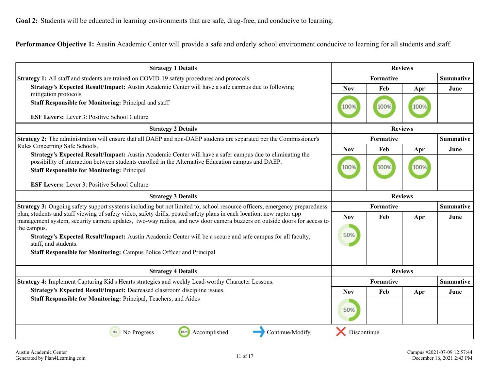<span id="page-10-0"></span>**Goal 2:** Students will be educated in learning environments that are safe, drug-free, and conducive to learning.

**Performance Objective 1:** Austin Academic Center will provide a safe and orderly school environment conducive to learning for all students and staff.

| <b>Strategy 1 Details</b>                                                                                                                                                                                                                                                                                                                                                                             |                  |           | <b>Reviews</b>   |                  |
|-------------------------------------------------------------------------------------------------------------------------------------------------------------------------------------------------------------------------------------------------------------------------------------------------------------------------------------------------------------------------------------------------------|------------------|-----------|------------------|------------------|
| <b>Strategy 1:</b> All staff and students are trained on COVID-19 safety procedures and protocols.                                                                                                                                                                                                                                                                                                    |                  | Formative |                  | <b>Summative</b> |
| Strategy's Expected Result/Impact: Austin Academic Center will have a safe campus due to following<br>mitigation protocols                                                                                                                                                                                                                                                                            | <b>Nov</b>       | Feb       | Apr              | June             |
| <b>Staff Responsible for Monitoring: Principal and staff</b>                                                                                                                                                                                                                                                                                                                                          | 100%             | 100%      | 100%             |                  |
| <b>ESF Levers:</b> Lever 3: Positive School Culture                                                                                                                                                                                                                                                                                                                                                   |                  |           |                  |                  |
| <b>Strategy 2 Details</b>                                                                                                                                                                                                                                                                                                                                                                             |                  |           | <b>Reviews</b>   |                  |
| <b>Strategy 2:</b> The administration will ensure that all DAEP and non-DAEP students are separated per the Commissioner's                                                                                                                                                                                                                                                                            | <b>Formative</b> |           |                  | <b>Summative</b> |
| Rules Concerning Safe Schools.                                                                                                                                                                                                                                                                                                                                                                        | <b>Nov</b>       | Feb       | Apr              | June             |
| Strategy's Expected Result/Impact: Austin Academic Center will have a safer campus due to eliminating the<br>possibility of interaction between students enrolled in the Alternative Education campus and DAEP.<br><b>Staff Responsible for Monitoring: Principal</b>                                                                                                                                 |                  | 100%      | 100%             |                  |
| <b>ESF Levers:</b> Lever 3: Positive School Culture                                                                                                                                                                                                                                                                                                                                                   |                  |           |                  |                  |
| <b>Strategy 3 Details</b>                                                                                                                                                                                                                                                                                                                                                                             | <b>Reviews</b>   |           |                  |                  |
| Strategy 3: Ongoing safety support systems including but not limited to; school resource officers, emergency preparedness                                                                                                                                                                                                                                                                             | Formative        |           | <b>Summative</b> |                  |
| plan, students and staff viewing of safety video, safety drills, posted safety plans in each location, new raptor app<br>management system, security camera updates, two-way radios, and new door camera buzzers on outside doors for access to<br>the campus.<br>Strategy's Expected Result/Impact: Austin Academic Center will be a secure and safe campus for all faculty,<br>staff, and students. |                  | Feb       | Apr              | June             |
|                                                                                                                                                                                                                                                                                                                                                                                                       |                  |           |                  |                  |
|                                                                                                                                                                                                                                                                                                                                                                                                       |                  |           |                  |                  |
| Staff Responsible for Monitoring: Campus Police Officer and Principal                                                                                                                                                                                                                                                                                                                                 |                  |           |                  |                  |
| <b>Strategy 4 Details</b>                                                                                                                                                                                                                                                                                                                                                                             | <b>Reviews</b>   |           |                  |                  |
| Strategy 4: Implement Capturing Kid's Hearts strategies and weekly Lead-worthy Character Lessons.                                                                                                                                                                                                                                                                                                     |                  | Formative |                  | <b>Summative</b> |
| Strategy's Expected Result/Impact: Decreased classroom discipline issues.<br>Staff Responsible for Monitoring: Principal, Teachers, and Aides                                                                                                                                                                                                                                                         |                  | Feb       | Apr              | June             |
|                                                                                                                                                                                                                                                                                                                                                                                                       |                  |           |                  |                  |
| 100%<br>Accomplished<br>Continue/Modify<br>0%<br>No Progress                                                                                                                                                                                                                                                                                                                                          | Discontinue      |           |                  |                  |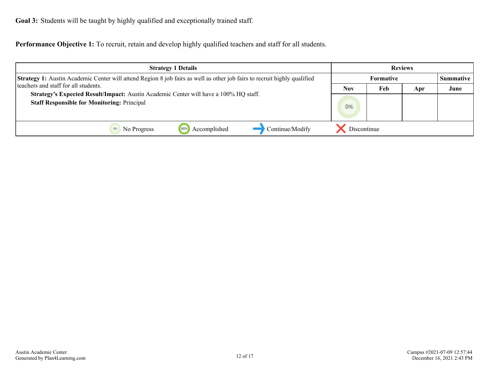<span id="page-11-0"></span>**Goal 3:** Students will be taught by highly qualified and exceptionally trained staff.

**Performance Objective 1:** To recruit, retain and develop highly qualified teachers and staff for all students.

| <b>Strategy 1 Details</b>                                                                                                                                        |             |                                      | <b>Reviews</b> |      |
|------------------------------------------------------------------------------------------------------------------------------------------------------------------|-------------|--------------------------------------|----------------|------|
| Strategy 1: Austin Academic Center will attend Region 8 job fairs as well as other job fairs to recruit highly qualified<br>teachers and staff for all students. |             | <b>Formative</b><br><b>Summative</b> |                |      |
|                                                                                                                                                                  |             | Feb                                  | Apr            | June |
| Strategy's Expected Result/Impact: Austin Academic Center will have a 100% HQ staff.<br><b>Staff Responsible for Monitoring: Principal</b>                       |             |                                      |                |      |
|                                                                                                                                                                  | 0%          |                                      |                |      |
|                                                                                                                                                                  |             |                                      |                |      |
| Accomplished<br>Continue/Modify<br>1009<br>No Progress                                                                                                           | Discontinue |                                      |                |      |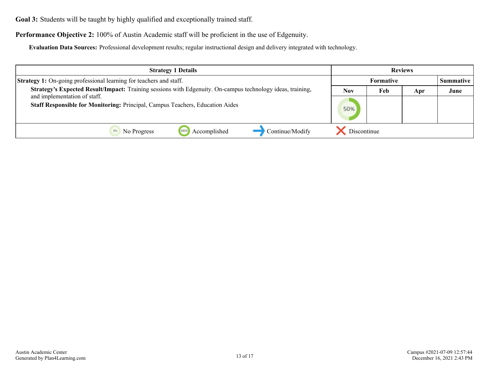**Goal 3:** Students will be taught by highly qualified and exceptionally trained staff.

**Performance Objective 2:** 100% of Austin Academic staff will be proficient in the use of Edgenuity.

**Evaluation Data Sources:** Professional development results; regular instructional design and delivery integrated with technology.

| <b>Strategy 1 Details</b>                                                                                  |                  |     | <b>Reviews</b> |                  |
|------------------------------------------------------------------------------------------------------------|------------------|-----|----------------|------------------|
| <b>Strategy 1:</b> On-going professional learning for teachers and staff.                                  | <b>Formative</b> |     |                | <b>Summative</b> |
| Strategy's Expected Result/Impact: Training sessions with Edgenuity. On-campus technology ideas, training, | <b>Nov</b>       | Feb | Apr            | June             |
| and implementation of staff.                                                                               |                  |     |                |                  |
| <b>Staff Responsible for Monitoring: Principal, Campus Teachers, Education Aides</b>                       | 50%              |     |                |                  |
|                                                                                                            |                  |     |                |                  |
| Continue/Modify<br>Accomplished<br>No Progress                                                             | Discontinue      |     |                |                  |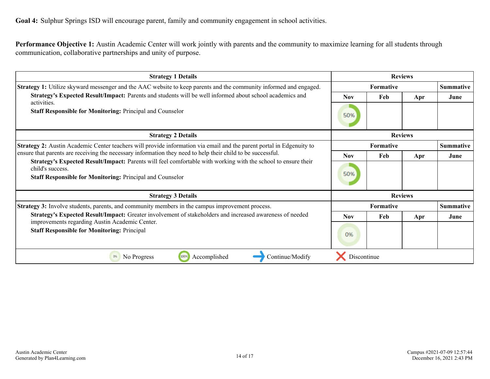<span id="page-13-0"></span>**Goal 4:** Sulphur Springs ISD will encourage parent, family and community engagement in school activities.

**Performance Objective 1:** Austin Academic Center will work jointly with parents and the community to maximize learning for all students through communication, collaborative partnerships and unity of purpose.

| <b>Strategy 1 Details</b>                                                                                                                                                                             |                  | <b>Reviews</b>   |                  |                  |
|-------------------------------------------------------------------------------------------------------------------------------------------------------------------------------------------------------|------------------|------------------|------------------|------------------|
| <b>Strategy 1:</b> Utilize skyward messenger and the AAC website to keep parents and the community informed and engaged.                                                                              | <b>Formative</b> |                  | <b>Summative</b> |                  |
| Strategy's Expected Result/Impact: Parents and students will be well informed about school academics and                                                                                              | <b>Nov</b>       | Feb              | Apr              | June             |
| activities.<br><b>Staff Responsible for Monitoring: Principal and Counselor</b>                                                                                                                       |                  |                  |                  |                  |
| <b>Strategy 2 Details</b>                                                                                                                                                                             |                  | <b>Reviews</b>   |                  |                  |
| <b>Strategy 2:</b> Austin Academic Center teachers will provide information via email and the parent portal in Edgenuity to                                                                           | <b>Formative</b> |                  |                  | <b>Summative</b> |
| ensure that parents are receiving the necessary information they need to help their child to be successful.                                                                                           | <b>Nov</b>       | Feb              | Apr              | June             |
| Strategy's Expected Result/Impact: Parents will feel comfortable with working with the school to ensure their<br>child's success.<br><b>Staff Responsible for Monitoring: Principal and Counselor</b> |                  |                  |                  |                  |
| <b>Strategy 3 Details</b><br><b>Reviews</b>                                                                                                                                                           |                  |                  |                  |                  |
| Strategy 3: Involve students, parents, and community members in the campus improvement process.                                                                                                       |                  | <b>Formative</b> |                  | <b>Summative</b> |
| Strategy's Expected Result/Impact: Greater involvement of stakeholders and increased awareness of needed<br>improvements regarding Austin Academic Center.                                            | <b>Nov</b>       | Feb              | Apr              | June             |
| <b>Staff Responsible for Monitoring: Principal</b>                                                                                                                                                    | 0%               |                  |                  |                  |
| No Progress<br>100%<br>Accomplished<br>Continue/Modify<br>0%                                                                                                                                          | Discontinue      |                  |                  |                  |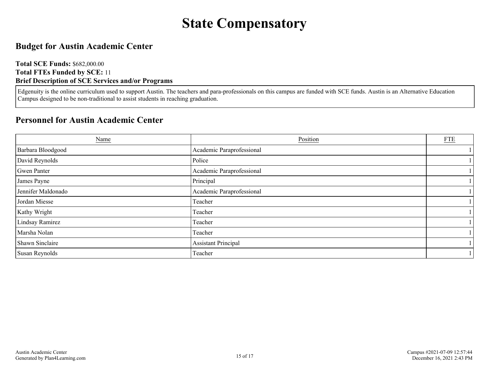# **State Compensatory**

### <span id="page-14-0"></span>**Budget for Austin Academic Center**

**Total SCE Funds:** \$682,000.00 **Total FTEs Funded by SCE:** 11 **Brief Description of SCE Services and/or Programs**

Edgenuity is the online curriculum used to support Austin. The teachers and para-professionals on this campus are funded with SCE funds. Austin is an Alternative Education Campus designed to be non-traditional to assist students in reaching graduation.

### **Personnel for Austin Academic Center**

| Name               | Position                   | ${\underline{\rm FTE}}$ |
|--------------------|----------------------------|-------------------------|
| Barbara Bloodgood  | Academic Paraprofessional  |                         |
| David Reynolds     | Police                     |                         |
| Gwen Panter        | Academic Paraprofessional  |                         |
| James Payne        | Principal                  |                         |
| Jennifer Maldonado | Academic Paraprofessional  |                         |
| Jordan Miesse      | Teacher                    |                         |
| Kathy Wright       | Teacher                    |                         |
| Lindsay Ramirez    | Teacher                    |                         |
| Marsha Nolan       | Teacher                    |                         |
| Shawn Sinclaire    | <b>Assistant Principal</b> |                         |
| Susan Reynolds     | Teacher                    |                         |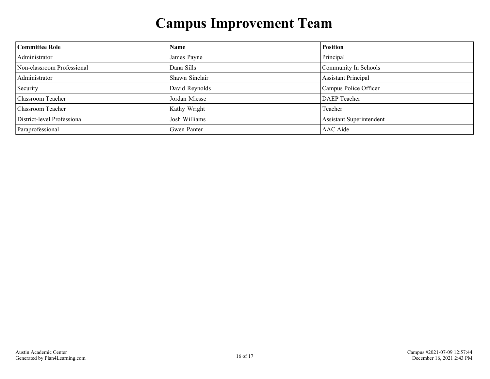# **Campus Improvement Team**

<span id="page-15-0"></span>

| <b>Committee Role</b>       | <b>Name</b>    | <b>Position</b>                 |
|-----------------------------|----------------|---------------------------------|
| Administrator               | James Payne    | Principal                       |
| Non-classroom Professional  | Dana Sills     | Community In Schools            |
| Administrator               | Shawn Sinclair | <b>Assistant Principal</b>      |
| Security                    | David Reynolds | Campus Police Officer           |
| Classroom Teacher           | Jordan Miesse  | <b>DAEP</b> Teacher             |
| Classroom Teacher           | Kathy Wright   | Teacher                         |
| District-level Professional | Josh Williams  | <b>Assistant Superintendent</b> |
| Paraprofessional            | Gwen Panter    | AAC Aide                        |